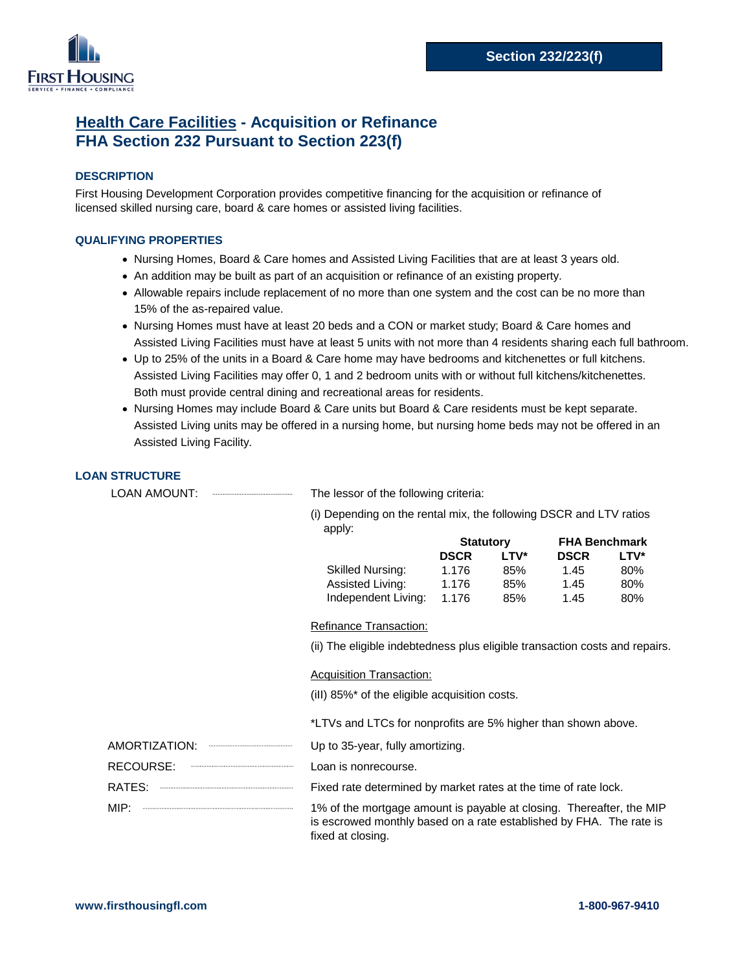

# **Health Care Facilities - Acquisition or Refinance FHA Section 232 Pursuant to Section 223(f)**

## **DESCRIPTION**

First Housing Development Corporation provides competitive financing for the acquisition or refinance of licensed skilled nursing care, board & care homes or assisted living facilities.

#### **QUALIFYING PROPERTIES**

- **∙** Nursing Homes, Board & Care homes and Assisted Living Facilities that are at least 3 years old.
- **∙** An addition may be built as part of an acquisition or refinance of an existing property.
- **∙** Allowable repairs include replacement of no more than one system and the cost can be no more than 15% of the as-repaired value.
- **∙** Nursing Homes must have at least 20 beds and a CON or market study; Board & Care homes and Assisted Living Facilities must have at least 5 units with not more than 4 residents sharing each full bathroom.
- **∙** Up to 25% of the units in a Board & Care home may have bedrooms and kitchenettes or full kitchens. Assisted Living Facilities may offer 0, 1 and 2 bedroom units with or without full kitchens/kitchenettes. Both must provide central dining and recreational areas for residents.
- **∙** Nursing Homes may include Board & Care units but Board & Care residents must be kept separate. Assisted Living units may be offered in a nursing home, but nursing home beds may not be offered in an Assisted Living Facility.

## **LOAN STRUCTURE**

LOAN AMOUNT: The lessor of the following criteria:

(i) Depending on the rental mix, the following DSCR and LTV ratios apply:

|                         | <b>Statutory</b> |      | <b>FHA Benchmark</b> |             |
|-------------------------|------------------|------|----------------------|-------------|
|                         | <b>DSCR</b>      | LTV* | <b>DSCR</b>          | <b>LTV*</b> |
| <b>Skilled Nursing:</b> | 1.176            | 85%  | 1.45                 | 80%         |
| Assisted Living:        | 1.176            | 85%  | 1.45                 | 80%         |
| Independent Living:     | 1.176            | 85%  | 1.45                 | 80%         |

## Refinance Transaction:

(ii) The eligible indebtedness plus eligible transaction costs and repairs.

#### Acquisition Transaction:

(iII) 85%\* of the eligible acquisition costs.

\*LTVs and LTCs for nonprofits are 5% higher than shown above.

- AMORTIZATION: Up to 35-year, fully amortizing.
- RECOURSE: Loan is nonrecourse.
- RATES: **Fixed rate determined by market rates at the time of rate lock.**
- MIP:  $\frac{1}{1}$  MIP:  $\frac{1}{1}$  MIP:  $\frac{1}{1}$  and  $\frac{1}{1}$  and  $\frac{1}{1}$  and  $\frac{1}{1}$  and  $\frac{1}{1}$  and  $\frac{1}{1}$  and  $\frac{1}{1}$  and  $\frac{1}{1}$  and  $\frac{1}{1}$  and  $\frac{1}{1}$  and  $\frac{1}{1}$  and  $\frac{1}{1}$  and  $\frac{1}{1}$  and  $\frac{1$ is escrowed monthly based on a rate established by FHA. The rate is fixed at closing.